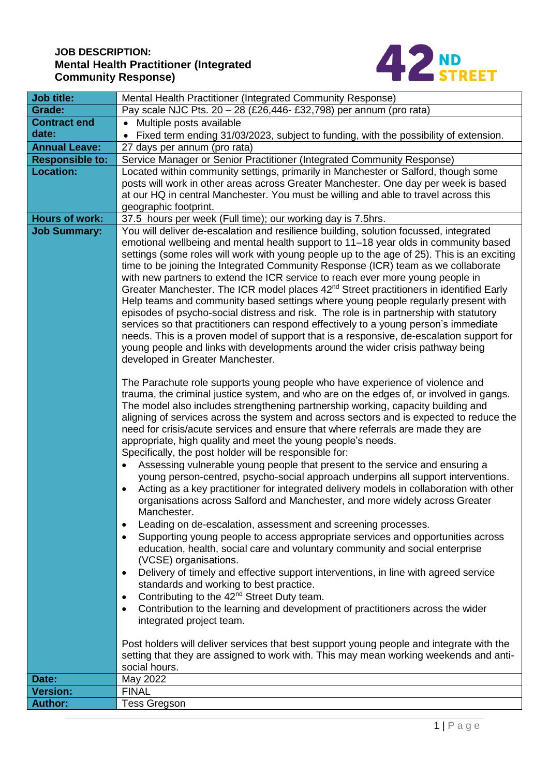# **JOB DESCRIPTION: Mental Health Practitioner (Integrated Community Response)**



| Job title:             | Mental Health Practitioner (Integrated Community Response)                                                                                                                     |  |  |  |  |  |
|------------------------|--------------------------------------------------------------------------------------------------------------------------------------------------------------------------------|--|--|--|--|--|
| Grade:                 | Pay scale NJC Pts. 20 - 28 (£26,446- £32,798) per annum (pro rata)                                                                                                             |  |  |  |  |  |
| <b>Contract end</b>    | • Multiple posts available                                                                                                                                                     |  |  |  |  |  |
| date:                  | Fixed term ending 31/03/2023, subject to funding, with the possibility of extension.                                                                                           |  |  |  |  |  |
| <b>Annual Leave:</b>   | 27 days per annum (pro rata)                                                                                                                                                   |  |  |  |  |  |
| <b>Responsible to:</b> | Service Manager or Senior Practitioner (Integrated Community Response)                                                                                                         |  |  |  |  |  |
| <b>Location:</b>       | Located within community settings, primarily in Manchester or Salford, though some                                                                                             |  |  |  |  |  |
|                        | posts will work in other areas across Greater Manchester. One day per week is based                                                                                            |  |  |  |  |  |
|                        | at our HQ in central Manchester. You must be willing and able to travel across this                                                                                            |  |  |  |  |  |
|                        | geographic footprint.                                                                                                                                                          |  |  |  |  |  |
| <b>Hours of work:</b>  | 37.5 hours per week (Full time); our working day is 7.5hrs.                                                                                                                    |  |  |  |  |  |
| <b>Job Summary:</b>    | You will deliver de-escalation and resilience building, solution focussed, integrated                                                                                          |  |  |  |  |  |
|                        | emotional wellbeing and mental health support to 11-18 year olds in community based                                                                                            |  |  |  |  |  |
|                        | settings (some roles will work with young people up to the age of 25). This is an exciting                                                                                     |  |  |  |  |  |
|                        | time to be joining the Integrated Community Response (ICR) team as we collaborate                                                                                              |  |  |  |  |  |
|                        | with new partners to extend the ICR service to reach ever more young people in                                                                                                 |  |  |  |  |  |
|                        | Greater Manchester. The ICR model places 42 <sup>nd</sup> Street practitioners in identified Early                                                                             |  |  |  |  |  |
|                        | Help teams and community based settings where young people regularly present with                                                                                              |  |  |  |  |  |
|                        | episodes of psycho-social distress and risk. The role is in partnership with statutory<br>services so that practitioners can respond effectively to a young person's immediate |  |  |  |  |  |
|                        | needs. This is a proven model of support that is a responsive, de-escalation support for                                                                                       |  |  |  |  |  |
|                        | young people and links with developments around the wider crisis pathway being                                                                                                 |  |  |  |  |  |
|                        | developed in Greater Manchester.                                                                                                                                               |  |  |  |  |  |
|                        |                                                                                                                                                                                |  |  |  |  |  |
|                        | The Parachute role supports young people who have experience of violence and                                                                                                   |  |  |  |  |  |
|                        | trauma, the criminal justice system, and who are on the edges of, or involved in gangs.                                                                                        |  |  |  |  |  |
|                        | The model also includes strengthening partnership working, capacity building and                                                                                               |  |  |  |  |  |
|                        | aligning of services across the system and across sectors and is expected to reduce the                                                                                        |  |  |  |  |  |
|                        | need for crisis/acute services and ensure that where referrals are made they are                                                                                               |  |  |  |  |  |
|                        | appropriate, high quality and meet the young people's needs.                                                                                                                   |  |  |  |  |  |
|                        | Specifically, the post holder will be responsible for:                                                                                                                         |  |  |  |  |  |
|                        | Assessing vulnerable young people that present to the service and ensuring a                                                                                                   |  |  |  |  |  |
|                        | young person-centred, psycho-social approach underpins all support interventions.<br>Acting as a key practitioner for integrated delivery models in collaboration with other   |  |  |  |  |  |
|                        | organisations across Salford and Manchester, and more widely across Greater                                                                                                    |  |  |  |  |  |
|                        | Manchester.                                                                                                                                                                    |  |  |  |  |  |
|                        | Leading on de-escalation, assessment and screening processes.<br>$\bullet$                                                                                                     |  |  |  |  |  |
|                        | Supporting young people to access appropriate services and opportunities across<br>$\bullet$                                                                                   |  |  |  |  |  |
|                        | education, health, social care and voluntary community and social enterprise                                                                                                   |  |  |  |  |  |
|                        | (VCSE) organisations.                                                                                                                                                          |  |  |  |  |  |
|                        | Delivery of timely and effective support interventions, in line with agreed service<br>$\bullet$                                                                               |  |  |  |  |  |
|                        | standards and working to best practice.                                                                                                                                        |  |  |  |  |  |
|                        | Contributing to the 42 <sup>nd</sup> Street Duty team.<br>$\bullet$                                                                                                            |  |  |  |  |  |
|                        | Contribution to the learning and development of practitioners across the wider<br>$\bullet$                                                                                    |  |  |  |  |  |
|                        | integrated project team.                                                                                                                                                       |  |  |  |  |  |
|                        |                                                                                                                                                                                |  |  |  |  |  |
|                        | Post holders will deliver services that best support young people and integrate with the                                                                                       |  |  |  |  |  |
|                        | setting that they are assigned to work with. This may mean working weekends and anti-                                                                                          |  |  |  |  |  |
|                        | social hours.                                                                                                                                                                  |  |  |  |  |  |
| Date:                  | May 2022                                                                                                                                                                       |  |  |  |  |  |
| <b>Version:</b>        | <b>FINAL</b>                                                                                                                                                                   |  |  |  |  |  |
| <b>Author:</b>         | <b>Tess Gregson</b>                                                                                                                                                            |  |  |  |  |  |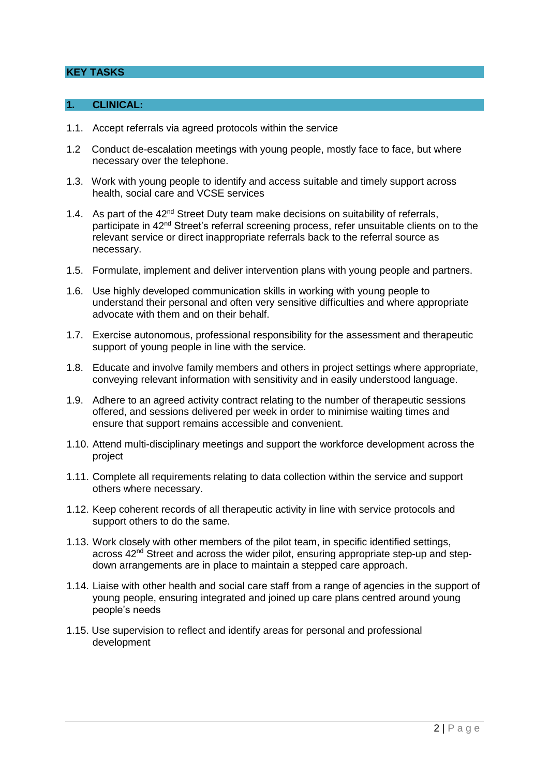### **KEY TASKS**

### **1. CLINICAL:**

- 1.1. Accept referrals via agreed protocols within the service
- 1.2 Conduct de-escalation meetings with young people, mostly face to face, but where necessary over the telephone.
- 1.3. Work with young people to identify and access suitable and timely support across health, social care and VCSE services
- 1.4. As part of the  $42<sup>nd</sup>$  Street Duty team make decisions on suitability of referrals, participate in 42<sup>nd</sup> Street's referral screening process, refer unsuitable clients on to the relevant service or direct inappropriate referrals back to the referral source as necessary.
- 1.5. Formulate, implement and deliver intervention plans with young people and partners.
- 1.6. Use highly developed communication skills in working with young people to understand their personal and often very sensitive difficulties and where appropriate advocate with them and on their behalf.
- 1.7. Exercise autonomous, professional responsibility for the assessment and therapeutic support of young people in line with the service.
- 1.8. Educate and involve family members and others in project settings where appropriate, conveying relevant information with sensitivity and in easily understood language.
- 1.9. Adhere to an agreed activity contract relating to the number of therapeutic sessions offered, and sessions delivered per week in order to minimise waiting times and ensure that support remains accessible and convenient.
- 1.10. Attend multi-disciplinary meetings and support the workforce development across the project
- 1.11. Complete all requirements relating to data collection within the service and support others where necessary.
- 1.12. Keep coherent records of all therapeutic activity in line with service protocols and support others to do the same.
- 1.13. Work closely with other members of the pilot team, in specific identified settings, across  $42<sup>nd</sup>$  Street and across the wider pilot, ensuring appropriate step-up and stepdown arrangements are in place to maintain a stepped care approach.
- 1.14. Liaise with other health and social care staff from a range of agencies in the support of young people, ensuring integrated and joined up care plans centred around young people's needs
- 1.15. Use supervision to reflect and identify areas for personal and professional development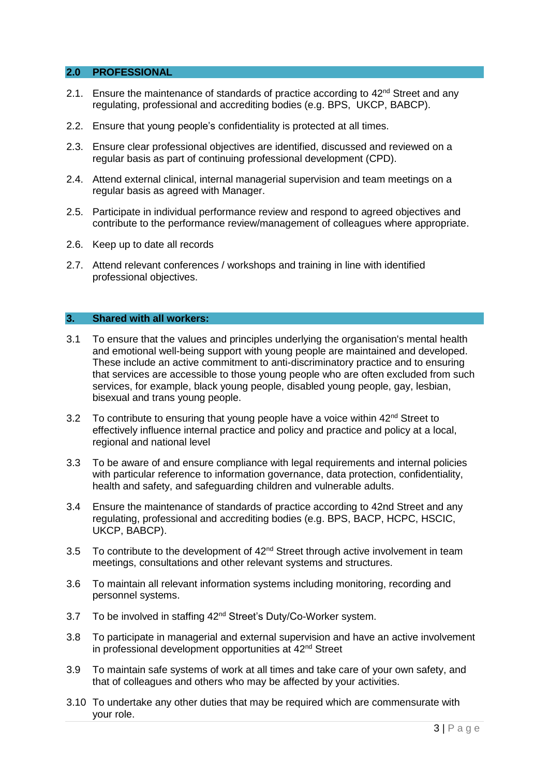#### **2.0 PROFESSIONAL**

- 2.1. Ensure the maintenance of standards of practice according to 42<sup>nd</sup> Street and any regulating, professional and accrediting bodies (e.g. BPS, UKCP, BABCP).
- 2.2. Ensure that young people's confidentiality is protected at all times.
- 2.3. Ensure clear professional objectives are identified, discussed and reviewed on a regular basis as part of continuing professional development (CPD).
- 2.4. Attend external clinical, internal managerial supervision and team meetings on a regular basis as agreed with Manager.
- 2.5. Participate in individual performance review and respond to agreed objectives and contribute to the performance review/management of colleagues where appropriate.
- 2.6. Keep up to date all records
- 2.7. Attend relevant conferences / workshops and training in line with identified professional objectives.

## **3. Shared with all workers:**

- 3.1 To ensure that the values and principles underlying the organisation's mental health and emotional well-being support with young people are maintained and developed. These include an active commitment to anti-discriminatory practice and to ensuring that services are accessible to those young people who are often excluded from such services, for example, black young people, disabled young people, gay, lesbian, bisexual and trans young people.
- 3.2 To contribute to ensuring that young people have a voice within  $42<sup>nd</sup>$  Street to effectively influence internal practice and policy and practice and policy at a local, regional and national level
- 3.3 To be aware of and ensure compliance with legal requirements and internal policies with particular reference to information governance, data protection, confidentiality, health and safety, and safeguarding children and vulnerable adults.
- 3.4 Ensure the maintenance of standards of practice according to 42nd Street and any regulating, professional and accrediting bodies (e.g. BPS, BACP, HCPC, HSCIC, UKCP, BABCP).
- 3.5 To contribute to the development of  $42<sup>nd</sup>$  Street through active involvement in team meetings, consultations and other relevant systems and structures.
- 3.6 To maintain all relevant information systems including monitoring, recording and personnel systems.
- 3.7 To be involved in staffing 42<sup>nd</sup> Street's Duty/Co-Worker system.
- 3.8 To participate in managerial and external supervision and have an active involvement in professional development opportunities at 42<sup>nd</sup> Street
- 3.9 To maintain safe systems of work at all times and take care of your own safety, and that of colleagues and others who may be affected by your activities.
- 3.10 To undertake any other duties that may be required which are commensurate with your role.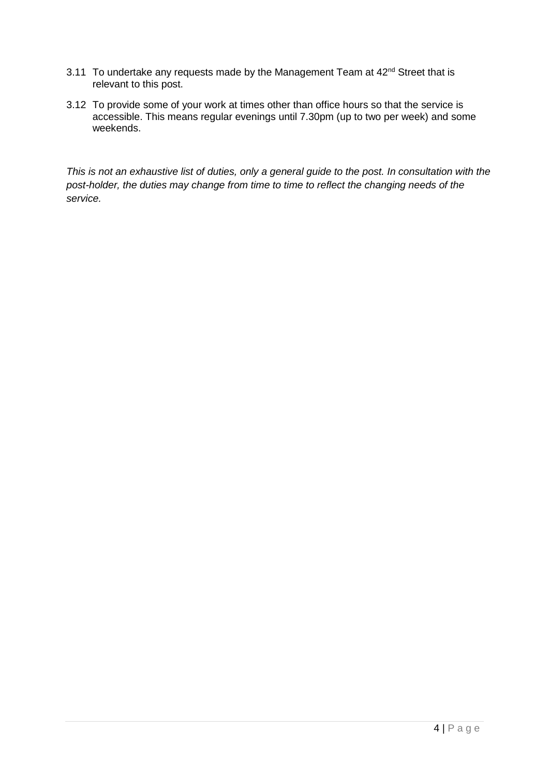- 3.11 To undertake any requests made by the Management Team at  $42<sup>nd</sup>$  Street that is relevant to this post.
- 3.12 To provide some of your work at times other than office hours so that the service is accessible. This means regular evenings until 7.30pm (up to two per week) and some weekends.

*This is not an exhaustive list of duties, only a general guide to the post. In consultation with the post-holder, the duties may change from time to time to reflect the changing needs of the service.*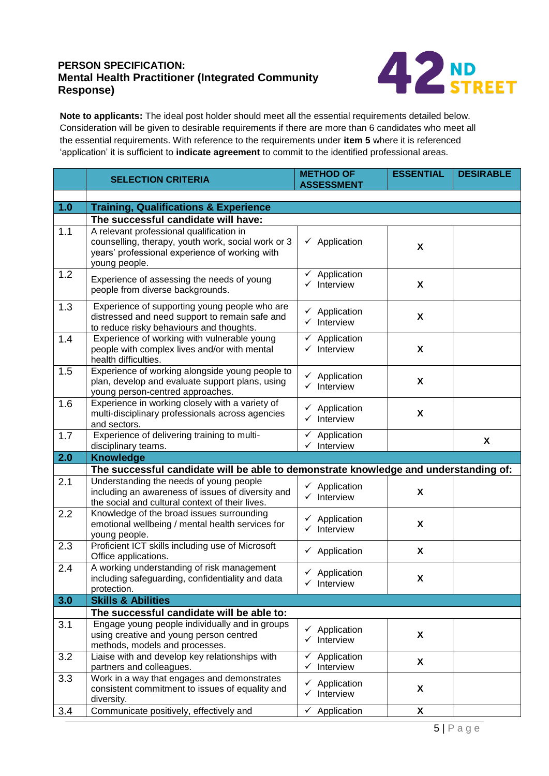# **Mental Health Practitioner (Integrated Community PERSON SPECIFICATION: Response)**



**Note to applicants:** The ideal post holder should meet all the essential requirements detailed below. Consideration will be given to desirable requirements if there are more than 6 candidates who meet all the essential requirements. With reference to the requirements under **item 5** where it is referenced 'application' it is sufficient to **indicate agreement** to commit to the identified professional areas.

|     | <b>SELECTION CRITERIA</b>                                                                                                                                         | <b>METHOD OF</b><br><b>ASSESSMENT</b>                 | <b>ESSENTIAL</b>          | <b>DESIRABLE</b> |  |
|-----|-------------------------------------------------------------------------------------------------------------------------------------------------------------------|-------------------------------------------------------|---------------------------|------------------|--|
|     |                                                                                                                                                                   |                                                       |                           |                  |  |
| 1.0 | <b>Training, Qualifications &amp; Experience</b>                                                                                                                  |                                                       |                           |                  |  |
|     | The successful candidate will have:                                                                                                                               |                                                       |                           |                  |  |
| 1.1 | A relevant professional qualification in<br>counselling, therapy, youth work, social work or 3<br>years' professional experience of working with<br>young people. | $\checkmark$ Application                              | X                         |                  |  |
| 1.2 | Experience of assessing the needs of young<br>people from diverse backgrounds.                                                                                    | $\checkmark$ Application<br>$\checkmark$ Interview    | $\boldsymbol{\mathsf{X}}$ |                  |  |
| 1.3 | Experience of supporting young people who are<br>distressed and need support to remain safe and<br>to reduce risky behaviours and thoughts.                       | $\checkmark$ Application<br>$\checkmark$ Interview    | $\boldsymbol{\mathsf{X}}$ |                  |  |
| 1.4 | Experience of working with vulnerable young<br>people with complex lives and/or with mental<br>health difficulties.                                               | $\checkmark$ Application<br>$\checkmark$ Interview    | $\boldsymbol{\mathsf{X}}$ |                  |  |
| 1.5 | Experience of working alongside young people to<br>plan, develop and evaluate support plans, using<br>young person-centred approaches.                            | $\checkmark$ Application<br>$\checkmark$ Interview    | X                         |                  |  |
| 1.6 | Experience in working closely with a variety of<br>multi-disciplinary professionals across agencies<br>and sectors.                                               | $\checkmark$ Application<br>$\checkmark$ Interview    | X                         |                  |  |
| 1.7 | Experience of delivering training to multi-<br>disciplinary teams.                                                                                                | Application<br>✓<br>$\checkmark$ Interview            |                           | X                |  |
| 2.0 | <b>Knowledge</b>                                                                                                                                                  |                                                       |                           |                  |  |
|     | The successful candidate will be able to demonstrate knowledge and understanding of:                                                                              |                                                       |                           |                  |  |
| 2.1 | Understanding the needs of young people<br>including an awareness of issues of diversity and<br>the social and cultural context of their lives.                   | $\checkmark$ Application<br>$\checkmark$ Interview    | X                         |                  |  |
| 2.2 | Knowledge of the broad issues surrounding<br>emotional wellbeing / mental health services for<br>young people.                                                    | $\checkmark$ Application<br>$\checkmark$ Interview    | X                         |                  |  |
| 2.3 | Proficient ICT skills including use of Microsoft<br>Office applications.                                                                                          | $\checkmark$ Application                              | X                         |                  |  |
| 2.4 | A working understanding of risk management<br>including safeguarding, confidentiality and data<br>protection.                                                     | $\checkmark$ Application<br>Interview                 | X                         |                  |  |
| 3.0 | <b>Skills &amp; Abilities</b>                                                                                                                                     |                                                       |                           |                  |  |
|     | The successful candidate will be able to:                                                                                                                         |                                                       |                           |                  |  |
| 3.1 | Engage young people individually and in groups<br>using creative and young person centred<br>methods, models and processes.                                       | $\checkmark$ Application<br>$\checkmark$ Interview    | X                         |                  |  |
| 3.2 | Liaise with and develop key relationships with<br>partners and colleagues.                                                                                        | Application<br>✓<br>$\checkmark$ Interview            | X                         |                  |  |
| 3.3 | Work in a way that engages and demonstrates<br>consistent commitment to issues of equality and<br>diversity.                                                      | $\checkmark$ Application<br>Interview<br>$\checkmark$ | X                         |                  |  |
| 3.4 | Communicate positively, effectively and                                                                                                                           | ✓<br>Application                                      | X                         |                  |  |